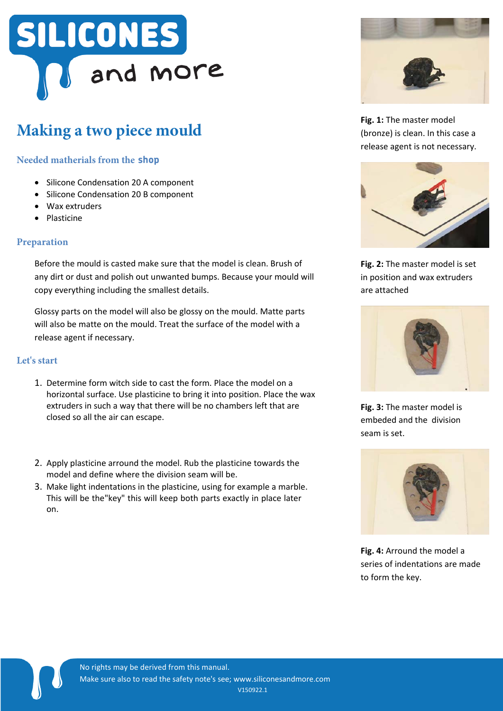# SILICONES and more

## **Making a two piece mould**

### **Needed matherials from the shop**

- Silicone Condensation 20 A component
- Silicone Condensation 20 B component
- Wax extruders
- Plasticine

#### **Preparation**

Before the mould is casted make sure that the model is clean. Brush of any dirt or dust and polish out unwanted bumps. Because your mould will copy everything including the smallest details.

Glossy parts on the model will also be glossy on the mould. Matte parts will also be matte on the mould. Treat the surface of the model with a release agent if necessary.

#### **Let's start**

 $\blacksquare$ 

- 1. Determine form witch side to cast the form. Place the model on a horizontal surface. Use plasticine to bring it into position. Place the wax extruders in such a way that there will be no chambers left that are closed so all the air can escape.
- 2. Apply plasticine arround the model. Rub the plasticine towards the model and define where the division seam will be.
- 3. Make light indentations in the plasticine, using for example a marble. This will be the"key" this will keep both parts exactly in place later on.



**Fig. 1:** The master model (bronze) is clean. In this case a release agent is not necessary.



**Fig. 2:** The master model is set in position and wax extruders are attached



**Fig. 3:** The master model is embeded and the division seam is set.



**Fig. 4:** Arround the model a series of indentations are made to form the key.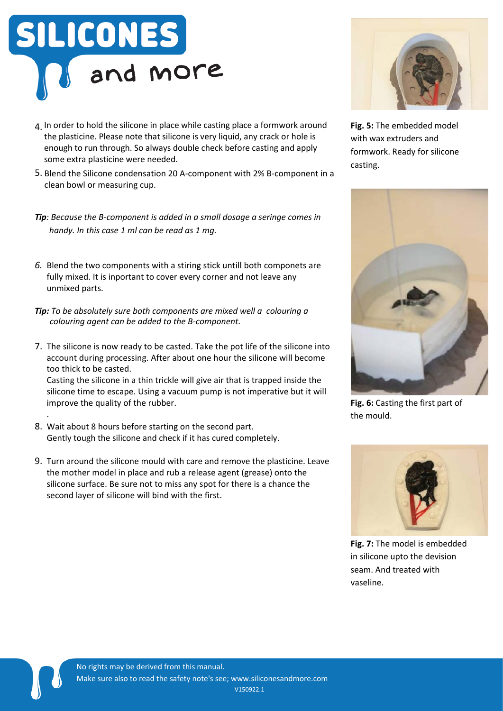

- 4. In order to hold the silicone in place while casting place a formwork around the plasticine. Please note that silicone is very liquid, any crack or hole is enough to run through. So always double check before casting and apply some extra plasticine were needed.
- 5. Blend the Silicone condensation 20 A-component with 2% B-component in a clean bowl or measuring cup.
- *Tip*: Because the B-component is added in a small dosage a seringe comes in *handy. In this case 1 ml can be read as 1 mg.*
- *6.* Blend the two components with a stiring stick untill both componets are fully mixed. It is inportant to cover every corner and not leave any unmixed parts.
- *Tip: To be absolutely sure both components are mixed well a colouring a colouring agent can be added to the B-component.*
- 7. The silicone is now ready to be casted. Take the pot life of the silicone into account during processing. After about one hour the silicone will become too thick to be casted.

Casting the silicone in a thin trickle will give air that is trapped inside the silicone time to escape. Using a vacuum pump is not imperative but it will improve the quality of the rubber.

- 8. Wait about 8 hours before starting on the second part. Gently tough the silicone and check if it has cured completely.
- 9. Turn around the silicone mould with care and remove the plasticine. Leave the mother model in place and rub a release agent (grease) onto the silicone surface. Be sure not to miss any spot for there is a chance the second layer of silicone will bind with the first.



**Fig. 5:** The embedded model with wax extruders and formwork. Ready for silicone casting.



**Fig. 6:** Casting the first part of the mould.



**Fig. 7:** The model is embedded in silicone upto the devision seam. And treated with vaseline.

 $\blacksquare$ 

.